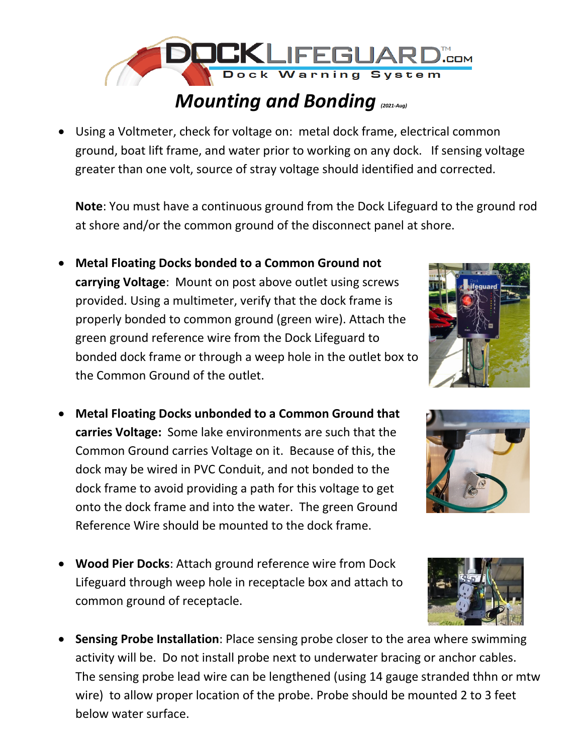

## *Mounting and Bonding (2021-Aug)*

• Using a Voltmeter, check for voltage on: metal dock frame, electrical common ground, boat lift frame, and water prior to working on any dock. If sensing voltage greater than one volt, source of stray voltage should identified and corrected.

**Note**: You must have a continuous ground from the Dock Lifeguard to the ground rod at shore and/or the common ground of the disconnect panel at shore.

- **Metal Floating Docks bonded to a Common Ground not carrying Voltage**: Mount on post above outlet using screws provided. Using a multimeter, verify that the dock frame is properly bonded to common ground (green wire). Attach the green ground reference wire from the Dock Lifeguard to bonded dock frame or through a weep hole in the outlet box to the Common Ground of the outlet.
- **Metal Floating Docks unbonded to a Common Ground that carries Voltage:** Some lake environments are such that the Common Ground carries Voltage on it. Because of this, the dock may be wired in PVC Conduit, and not bonded to the dock frame to avoid providing a path for this voltage to get onto the dock frame and into the water. The green Ground Reference Wire should be mounted to the dock frame.
- **Wood Pier Docks**: Attach ground reference wire from Dock Lifeguard through weep hole in receptacle box and attach to common ground of receptacle.
- **Sensing Probe Installation**: Place sensing probe closer to the area where swimming activity will be. Do not install probe next to underwater bracing or anchor cables. The sensing probe lead wire can be lengthened (using 14 gauge stranded thhn or mtw wire) to allow proper location of the probe. Probe should be mounted 2 to 3 feet below water surface.